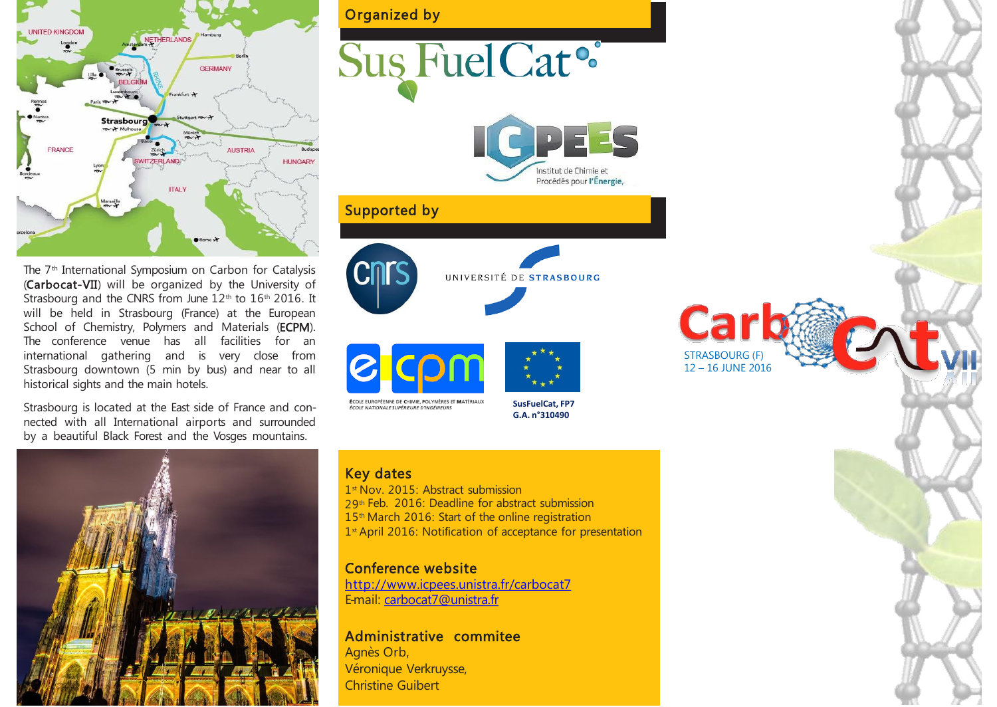

The 7<sup>th</sup> International Symposium on Carbon for Catalysis (Carbocat-VII) will be organized by the University of Strasbourg and the CNRS from June  $12<sup>th</sup>$  to  $16<sup>th</sup>$  2016. It will be held in Strasbourg (France) at the European School of Chemistry, Polymers and Materials (ECPM). The conference venue has all facilities for an international gathering and is very close from Strasbourg downtown (5 min by bus) and near to all historical sights and the main hotels.

Strasbourg is located at the East side of France and connected with all International airports and surrounded by a beautiful Black Forest and the Vosges mountains.



# Sus Fuel Cat<sup>o</sup>



## Supported by



UNIVERSITÉ DE STRASBOURG





**ÉCOLE NATIONALE SUPÉRIEURE D'INGÉNIEURS** 

**SusFuelCat, FP7 G.A. n°310490**

### Key dates

1 st Nov. 2015: Abstract submission 29th Feb. 2016: Deadline for abstract submission 15<sup>th</sup> March 2016: Start of the online registration 1<sup>st</sup> April 2016: Notification of acceptance for presentation

## Conference website

<http://www.icpees.unistra.fr/carbocat7> E-mail: [carbocat7@unistra.fr](http://www.icpees.unistra.fr/carbocat7)

### Administrative commitee

Agnès Orb, Véronique Verkruysse, Christine Guibert